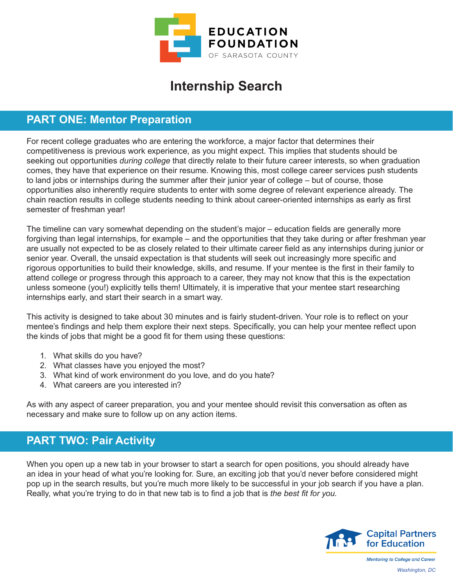

# **Internship Search**

### **PART ONE: Mentor Preparation**

For recent college graduates who are entering the workforce, a major factor that determines their competitiveness is previous work experience, as you might expect. This implies that students should be seeking out opportunities *during college* that directly relate to their future career interests, so when graduation comes, they have that experience on their resume. Knowing this, most college career services push students to land jobs or internships during the summer after their junior year of college – but of course, those opportunities also inherently require students to enter with some degree of relevant experience already. The chain reaction results in college students needing to think about career-oriented internships as early as first semester of freshman year!

The timeline can vary somewhat depending on the student's major – education fields are generally more forgiving than legal internships, for example – and the opportunities that they take during or after freshman year are usually not expected to be as closely related to their ultimate career field as any internships during junior or senior year. Overall, the unsaid expectation is that students will seek out increasingly more specific and rigorous opportunities to build their knowledge, skills, and resume. If your mentee is the first in their family to attend college or progress through this approach to a career, they may not know that this is the expectation unless someone (you!) explicitly tells them! Ultimately, it is imperative that your mentee start researching internships early, and start their search in a smart way.

This activity is designed to take about 30 minutes and is fairly student-driven. Your role is to reflect on your mentee's findings and help them explore their next steps. Specifically, you can help your mentee reflect upon the kinds of jobs that might be a good fit for them using these questions:

- 1. What skills do you have?
- 2. What classes have you enjoyed the most?
- 3. What kind of work environment do you love, and do you hate?
- 4. What careers are you interested in?

As with any aspect of career preparation, you and your mentee should revisit this conversation as often as necessary and make sure to follow up on any action items.

## **PART TWO: Pair Activity**

When you open up a new tab in your browser to start a search for open positions, you should already have an idea in your head of what you're looking for. Sure, an exciting job that you'd never before considered might pop up in the search results, but you're much more likely to be successful in your job search if you have a plan. Really, what you're trying to do in that new tab is to find a job that is *the best fit for you*.



**Mentoring to College and Career** *Washington, DC*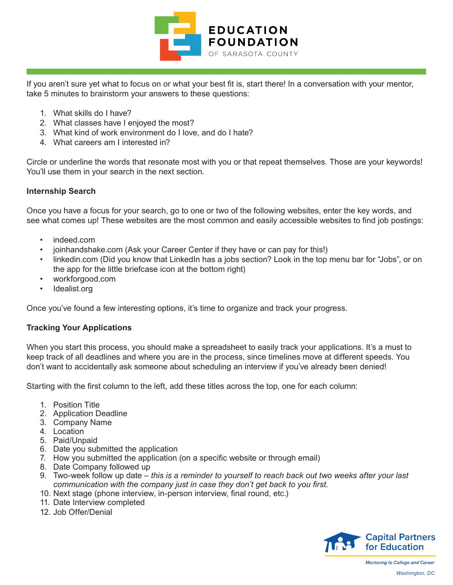

If you aren't sure yet what to focus on or what your best fit is, start there! In a conversation with your mentor, take 5 minutes to brainstorm your answers to these questions:

- 1. What skills do I have?
- 2. What classes have I enjoyed the most?
- 3. What kind of work environment do I love, and do I hate?
- 4. What careers am I interested in?

Circle or underline the words that resonate most with you or that repeat themselves. Those are your keywords! You'll use them in your search in the next section.

#### **Internship Search**

Once you have a focus for your search, go to one or two of the following websites, enter the key words, and see what comes up! These websites are the most common and easily accessible websites to find job postings:

- indeed.com
- joinhandshake.com (Ask your Career Center if they have or can pay for this!)
- linkedin.com (Did you know that LinkedIn has a jobs section? Look in the top menu bar for "Jobs", or on the app for the little briefcase icon at the bottom right)
- workforgood.com
- Idealist.org

Once you've found a few interesting options, it's time to organize and track your progress.

#### **Tracking Your Applications**

When you start this process, you should make a spreadsheet to easily track your applications. It's a must to keep track of all deadlines and where you are in the process, since timelines move at different speeds. You don't want to accidentally ask someone about scheduling an interview if you've already been denied!

Starting with the first column to the left, add these titles across the top, one for each column:

- 1. Position Title
- 2. Application Deadline
- 3. Company Name
- 4. Location
- 5. Paid/Unpaid
- 6. Date you submitted the application
- 7. How you submitted the application (on a specific website or through email)
- 8. Date Company followed up
- 9. Two-week follow up date *this is a reminder to yourself to reach back out two weeks after your last communication with the company just in case they don't get back to you first.*
- 10. Next stage (phone interview, in-person interview, final round, etc.)
- 11. Date Interview completed
- 12. Job Offer/Denial